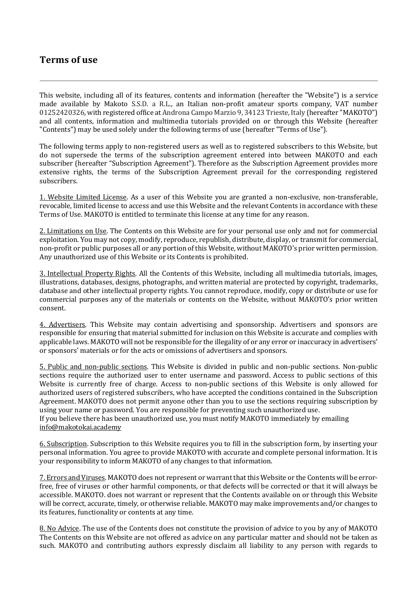## **Terms** of use

This website, including all of its features, contents and information (hereafter the "Website") is a service made available by Makoto S.S.D. a R.L., an Italian non-profit amateur sports company, VAT number 01252420326, with registered office at Androna Campo Marzio 9, 34123 Trieste, Italy (hereafter "MAKOTO") and all contents, information and multimedia tutorials provided on or through this Website (hereafter "Contents") may be used solely under the following terms of use (hereafter "Terms of Use").

The following terms apply to non-registered users as well as to registered subscribers to this Website, but do not supersede the terms of the subscription agreement entered into between MAKOTO and each subscriber (hereafter "Subscription Agreement"). Therefore as the Subscription Agreement provides more extensive rights, the terms of the Subscription Agreement prevail for the corresponding registered subscribers.

1. Website Limited License. As a user of this Website you are granted a non-exclusive, non-transferable, revocable, limited license to access and use this Website and the relevant Contents in accordance with these Terms of Use. MAKOTO is entitled to terminate this license at any time for any reason.

2. Limitations on Use. The Contents on this Website are for your personal use only and not for commercial exploitation. You may not copy, modify, reproduce, republish, distribute, display, or transmit for commercial, non-profit or public purposes all or any portion of this Website, without MAKOTO's prior written permission. Any unauthorized use of this Website or its Contents is prohibited.

3. Intellectual Property Rights. All the Contents of this Website, including all multimedia tutorials, images, illustrations, databases, designs, photographs, and written material are protected by copyright, trademarks, database and other intellectual property rights. You cannot reproduce, modify, copy or distribute or use for commercial purposes any of the materials or contents on the Website, without MAKOTO's prior written consent.

4. Advertisers. This Website may contain advertising and sponsorship. Advertisers and sponsors are responsible for ensuring that material submitted for inclusion on this Website is accurate and complies with applicable laws. MAKOTO will not be responsible for the illegality of or any error or inaccuracy in advertisers' or sponsors' materials or for the acts or omissions of advertisers and sponsors.

5. Public and non-public sections. This Website is divided in public and non-public sections. Non-public sections require the authorized user to enter username and password. Access to public sections of this Website is currently free of charge. Access to non-public sections of this Website is only allowed for authorized users of registered subscribers, who have accepted the conditions contained in the Subscription Agreement. MAKOTO does not permit anyone other than you to use the sections requiring subscription by using your name or password. You are responsible for preventing such unauthorized use. If you believe there has been unauthorized use, you must notify MAKOTO immediately by emailing info@makotokai.academy

6. Subscription. Subscription to this Website requires you to fill in the subscription form, by inserting your personal information. You agree to provide MAKOTO with accurate and complete personal information. It is your responsibility to inform MAKOTO of any changes to that information.

7. Errors and Viruses. MAKOTO does not represent or warrant that this Website or the Contents will be errorfree, free of viruses or other harmful components, or that defects will be corrected or that it will always be accessible. MAKOTO. does not warrant or represent that the Contents available on or through this Website will be correct, accurate, timely, or otherwise reliable. MAKOTO may make improvements and/or changes to its features, functionality or contents at any time.

8. No Advice. The use of the Contents does not constitute the provision of advice to you by any of MAKOTO The Contents on this Website are not offered as advice on any particular matter and should not be taken as such. MAKOTO and contributing authors expressly disclaim all liability to any person with regards to